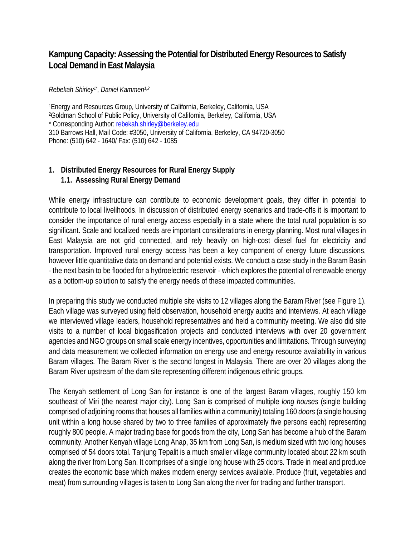# **Kampung Capacity: Assessing the Potential for Distributed Energy Resources to Satisfy Local Demand in East Malaysia**

*Rebekah Shirley1\* , Daniel Kammen1,2*

1Energy and Resources Group, University of California, Berkeley, California, USA 2Goldman School of Public Policy, University of California, Berkeley, California, USA \* Corresponding Author: rebekah.shirley@berkeley.edu 310 Barrows Hall, Mail Code: #3050, University of California, Berkeley, CA 94720-3050 Phone: (510) 642 - 1640/ Fax: (510) 642 - 1085

#### **1. Distributed Energy Resources for Rural Energy Supply 1.1. Assessing Rural Energy Demand**

While energy infrastructure can contribute to economic development goals, they differ in potential to contribute to local livelihoods. In discussion of distributed energy scenarios and trade-offs it is important to consider the importance of rural energy access especially in a state where the total rural population is so significant. Scale and localized needs are important considerations in energy planning. Most rural villages in East Malaysia are not grid connected, and rely heavily on high-cost diesel fuel for electricity and transportation. Improved rural energy access has been a key component of energy future discussions, however little quantitative data on demand and potential exists. We conduct a case study in the Baram Basin - the next basin to be flooded for a hydroelectric reservoir - which explores the potential of renewable energy as a bottom-up solution to satisfy the energy needs of these impacted communities.

In preparing this study we conducted multiple site visits to 12 villages along the Baram River (see Figure 1). Each village was surveyed using field observation, household energy audits and interviews. At each village we interviewed village leaders, household representatives and held a community meeting. We also did site visits to a number of local biogasification projects and conducted interviews with over 20 government agencies and NGO groups on small scale energy incentives, opportunities and limitations. Through surveying and data measurement we collected information on energy use and energy resource availability in various Baram villages. The Baram River is the second longest in Malaysia. There are over 20 villages along the Baram River upstream of the dam site representing different indigenous ethnic groups.

The Kenyah settlement of Long San for instance is one of the largest Baram villages, roughly 150 km southeast of Miri (the nearest major city). Long San is comprised of multiple *long houses* (single building comprised of adjoining rooms that houses all families within a community) totaling 160 *doors* (a single housing unit within a long house shared by two to three families of approximately five persons each) representing roughly 800 people. A major trading base for goods from the city, Long San has become a hub of the Baram community. Another Kenyah village Long Anap, 35 km from Long San, is medium sized with two long houses comprised of 54 doors total. Tanjung Tepalit is a much smaller village community located about 22 km south along the river from Long San. It comprises of a single long house with 25 doors. Trade in meat and produce creates the economic base which makes modern energy services available. Produce (fruit, vegetables and meat) from surrounding villages is taken to Long San along the river for trading and further transport.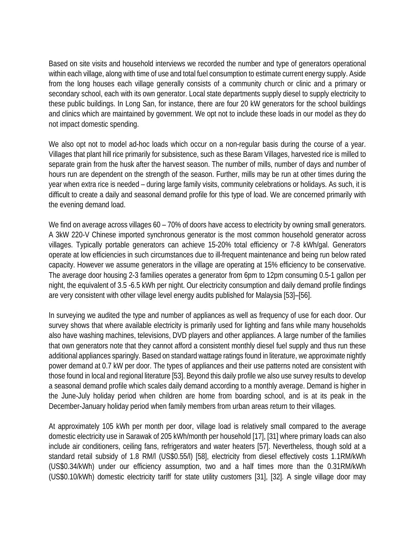Based on site visits and household interviews we recorded the number and type of generators operational within each village, along with time of use and total fuel consumption to estimate current energy supply. Aside from the long houses each village generally consists of a community church or clinic and a primary or secondary school, each with its own generator. Local state departments supply diesel to supply electricity to these public buildings. In Long San, for instance, there are four 20 kW generators for the school buildings and clinics which are maintained by government. We opt not to include these loads in our model as they do not impact domestic spending.

We also opt not to model ad-hoc loads which occur on a non-regular basis during the course of a year. Villages that plant hill rice primarily for subsistence, such as these Baram Villages, harvested rice is milled to separate grain from the husk after the harvest season. The number of mills, number of days and number of hours run are dependent on the strength of the season. Further, mills may be run at other times during the year when extra rice is needed – during large family visits, community celebrations or holidays. As such, it is difficult to create a daily and seasonal demand profile for this type of load. We are concerned primarily with the evening demand load.

We find on average across villages 60 – 70% of doors have access to electricity by owning small generators. A 3kW 220-V Chinese imported synchronous generator is the most common household generator across villages. Typically portable generators can achieve 15-20% total efficiency or 7-8 kWh/gal. Generators operate at low efficiencies in such circumstances due to ill-frequent maintenance and being run below rated capacity. However we assume generators in the village are operating at 15% efficiency to be conservative. The average door housing 2-3 families operates a generator from 6pm to 12pm consuming 0.5-1 gallon per night, the equivalent of 3.5 -6.5 kWh per night. Our electricity consumption and daily demand profile findings are very consistent with other village level energy audits published for Malaysia [53]–[56].

In surveying we audited the type and number of appliances as well as frequency of use for each door. Our survey shows that where available electricity is primarily used for lighting and fans while many households also have washing machines, televisions, DVD players and other appliances. A large number of the families that own generators note that they cannot afford a consistent monthly diesel fuel supply and thus run these additional appliances sparingly. Based on standard wattage ratings found in literature, we approximate nightly power demand at 0.7 kW per door. The types of appliances and their use patterns noted are consistent with those found in local and regional literature [53]. Beyond this daily profile we also use survey results to develop a seasonal demand profile which scales daily demand according to a monthly average. Demand is higher in the June-July holiday period when children are home from boarding school, and is at its peak in the December-January holiday period when family members from urban areas return to their villages.

At approximately 105 kWh per month per door, village load is relatively small compared to the average domestic electricity use in Sarawak of 205 kWh/month per household [17], [31] where primary loads can also include air conditioners, ceiling fans, refrigerators and water heaters [57]. Nevertheless, though sold at a standard retail subsidy of 1.8 RM/l (US\$0.55/l) [58], electricity from diesel effectively costs 1.1RM/kWh (US\$0.34/kWh) under our efficiency assumption, two and a half times more than the 0.31RM/kWh (US\$0.10/kWh) domestic electricity tariff for state utility customers [31], [32]. A single village door may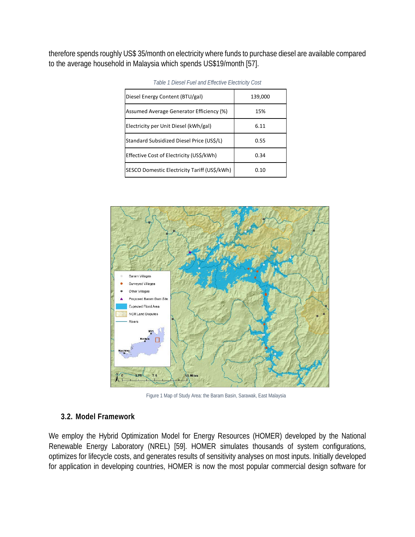therefore spends roughly US\$ 35/month on electricity where funds to purchase diesel are available compared to the average household in Malaysia which spends US\$19/month [57].

| Diesel Energy Content (BTU/gal)              | 139,000 |
|----------------------------------------------|---------|
| Assumed Average Generator Efficiency (%)     | 15%     |
| Electricity per Unit Diesel (kWh/gal)        | 6.11    |
| Standard Subsidized Diesel Price (US\$/L)    | 0.55    |
| Effective Cost of Electricity (US\$/kWh)     | 0.34    |
| SESCO Domestic Electricity Tariff (US\$/kWh) | 0.10    |

| Table 1 Diesel Fuel and Effective Electricity Cost |  |  |  |
|----------------------------------------------------|--|--|--|
|----------------------------------------------------|--|--|--|



Figure 1 Map of Study Area: the Baram Basin, Sarawak, East Malaysia

#### **3.2. Model Framework**

We employ the Hybrid Optimization Model for Energy Resources (HOMER) developed by the National Renewable Energy Laboratory (NREL) [59]. HOMER simulates thousands of system configurations, optimizes for lifecycle costs, and generates results of sensitivity analyses on most inputs. Initially developed for application in developing countries, HOMER is now the most popular commercial design software for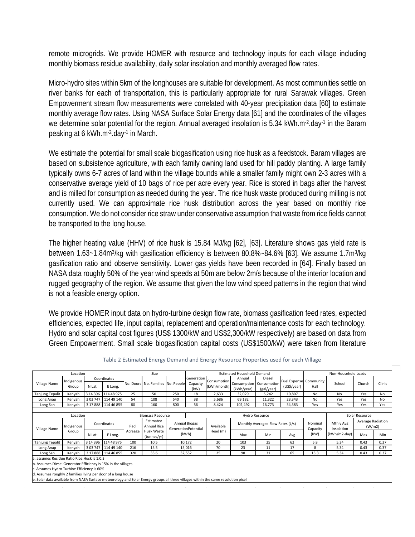remote microgrids. We provide HOMER with resource and technology inputs for each village including monthly biomass residue availability, daily solar insolation and monthly averaged flow rates.

Micro-hydro sites within 5km of the longhouses are suitable for development. As most communities settle on river banks for each of transportation, this is particularly appropriate for rural Sarawak villages. Green Empowerment stream flow measurements were correlated with 40-year precipitation data [60] to estimate monthly average flow rates. Using NASA Surface Solar Energy data [61] and the coordinates of the villages we determine solar potential for the region. Annual averaged insolation is 5.34 kWh.m-2.day-1 in the Baram peaking at 6 kWh.m-2.day-1 in March.

We estimate the potential for small scale biogasification using rice husk as a feedstock. Baram villages are based on subsistence agriculture, with each family owning land used for hill paddy planting. A large family typically owns 6-7 acres of land within the village bounds while a smaller family might own 2-3 acres with a conservative average yield of 10 bags of rice per acre every year. Rice is stored in bags after the harvest and is milled for consumption as needed during the year. The rice husk waste produced during milling is not currently used. We can approximate rice husk distribution across the year based on monthly rice consumption. We do not consider rice straw under conservative assumption that waste from rice fields cannot be transported to the long house.

The higher heating value (HHV) of rice husk is 15.84 MJ/kg [62], [63]. Literature shows gas yield rate is between 1.63~1.84m3/kg with gasification efficiency is between 80.8%~84.6% [63]. We assume 1.7m3/kg gasification ratio and observe sensitivity. Lower gas yields have been recorded in [64]. Finally based on NASA data roughly 50% of the year wind speeds at 50m are below 2m/s because of the interior location and rugged geography of the region. We assume that given the low wind speed patterns in the region that wind is not a feasible energy option.

We provide HOMER input data on hydro-turbine design flow rate, biomass gasification feed rates, expected efficiencies, expected life, input capital, replacement and operation/maintenance costs for each technology. Hydro and solar capital cost figures (US\$ 1300/kW and US\$2,300/kW respectively) are based on data from Green Empowerment. Small scale biogasification capital costs (US\$1500/kW) were taken from literature

| Location                                                                                                                          |                     |           | Size                   |         | <b>Estimated Household Demand</b>   |                                             |                                |                                                |                                     | Non-Household Loads                 |                                        |                     |                         |                             |        |  |
|-----------------------------------------------------------------------------------------------------------------------------------|---------------------|-----------|------------------------|---------|-------------------------------------|---------------------------------------------|--------------------------------|------------------------------------------------|-------------------------------------|-------------------------------------|----------------------------------------|---------------------|-------------------------|-----------------------------|--------|--|
| Village Name                                                                                                                      | Indigenous<br>Group | N Lat.    | Coordinates<br>E Long. |         | No. Doors  No. Families  No. People |                                             | Generation<br>Capacity<br>(kW) | Consumption<br>(kWh/month)                     | Annual<br>Consumption<br>(kWh/year) | Diesel<br>Consumption<br>(gal/year) | Fuel Expense  Community<br>(US\$/year) | Hall                | School                  | Church                      | Clinic |  |
| <b>Tanjung Tepalit</b>                                                                                                            | Kenyah              | 3 14 3 96 | 114 48 975             | 25      | 50                                  | 250                                         | 18                             | 2,633                                          | 32,029                              | 5,242                               | 10,807                                 | No                  | No                      | Yes                         | No     |  |
| Long Anap                                                                                                                         | Kenyah              | 3 03 747  | 114 49 140             | 54      | 108                                 | 540                                         | 38                             | 5,686                                          | 69,182                              | 11,322                              | 23,343                                 | No                  | Yes                     | Yes                         | No     |  |
| Long San                                                                                                                          | Kenyah              |           | 3 17 888 114 46 855    | 80      | 160                                 | 800                                         | 56                             | 8,424                                          | 102,492                             | 16,773                              | 34,583                                 | Yes                 | Yes                     | Yes                         | Yes    |  |
|                                                                                                                                   |                     |           |                        |         |                                     |                                             |                                |                                                |                                     |                                     |                                        |                     |                         |                             |        |  |
|                                                                                                                                   | Location            |           |                        |         |                                     | <b>Biomass Resource</b>                     |                                |                                                | <b>Hydro Resource</b>               |                                     |                                        |                     |                         | Solar Resource              |        |  |
| Village Name                                                                                                                      | Indigenous<br>Group |           | Coordinates<br>Padi    |         | Estimated<br>Annual Rice            | <b>Annual Biogas</b><br>GenerationPotential |                                | Monthly Averaged Flow Rates (L/s)<br>Available |                                     |                                     |                                        | Nominal<br>Capacity | Mthly Avg<br>Insolation | Average Radiation<br>(W/m2) |        |  |
|                                                                                                                                   |                     | N Lat.    | E Long.                | Acreage | Husk Waste<br>(tonnes/yr)           | (kWh)                                       | Head (m)                       | Max                                            | Min                                 | Avg                                 | (KW)                                   | (kWh/m2-day)        | Max                     | Min                         |        |  |
| <b>Tanjung Tepalit</b>                                                                                                            | Kenyah              | 3 14 3 96 | 114 48 975             | 100     | 10.5                                |                                             | 10,172                         | 20                                             | 103                                 | 25                                  | 62                                     | 5.8                 | 5.34                    | 0.43                        | 0.37   |  |
| Long Anap                                                                                                                         | Kenyah              | 3 03 747  | 114 49 140             | 216     | 15.5                                |                                             | 15,016                         | 70                                             | 23                                  | 11                                  | 17                                     | 8                   | 5.34                    | 0.43                        | 0.37   |  |
| Long San                                                                                                                          | Kenyah              |           | 3 17 888 1 114 46 855  | 320     | 33.6                                |                                             | 32,552                         | 25                                             | 98                                  | 31                                  | 65                                     | 13.3                | 5.34                    | 0.43                        | 0.37   |  |
| a. assumes Residue Ratio Rice: Husk is 1:0.3                                                                                      |                     |           |                        |         |                                     |                                             |                                |                                                |                                     |                                     |                                        |                     |                         |                             |        |  |
| b. Assumes Diesel Generator Efficiency is 15% in the villages                                                                     |                     |           |                        |         |                                     |                                             |                                |                                                |                                     |                                     |                                        |                     |                         |                             |        |  |
| c. Assumes Hydro Turbine Efficiency is 60%                                                                                        |                     |           |                        |         |                                     |                                             |                                |                                                |                                     |                                     |                                        |                     |                         |                             |        |  |
| d. Assumes roughly 2 families living per door of a long house                                                                     |                     |           |                        |         |                                     |                                             |                                |                                                |                                     |                                     |                                        |                     |                         |                             |        |  |
| e. Solar data available from NASA Surface meteorology and Solar Energy groups all three villages within the same resolution pixel |                     |           |                        |         |                                     |                                             |                                |                                                |                                     |                                     |                                        |                     |                         |                             |        |  |

Table 2 Estimated Energy Demand and Energy Resource Properties used for each Village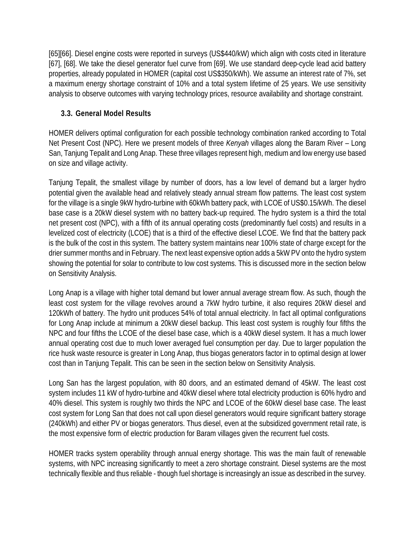[65][66]. Diesel engine costs were reported in surveys (US\$440/kW) which align with costs cited in literature [67], [68]. We take the diesel generator fuel curve from [69]. We use standard deep-cycle lead acid battery properties, already populated in HOMER (capital cost US\$350/kWh). We assume an interest rate of 7%, set a maximum energy shortage constraint of 10% and a total system lifetime of 25 years. We use sensitivity analysis to observe outcomes with varying technology prices, resource availability and shortage constraint.

# **3.3. General Model Results**

HOMER delivers optimal configuration for each possible technology combination ranked according to Total Net Present Cost (NPC). Here we present models of three *Kenyah* villages along the Baram River – Long San, Tanjung Tepalit and Long Anap. These three villages represent high, medium and low energy use based on size and village activity.

Tanjung Tepalit, the smallest village by number of doors, has a low level of demand but a larger hydro potential given the available head and relatively steady annual stream flow patterns. The least cost system for the village is a single 9kW hydro-turbine with 60kWh battery pack, with LCOE of US\$0.15/kWh. The diesel base case is a 20kW diesel system with no battery back-up required. The hydro system is a third the total net present cost (NPC), with a fifth of its annual operating costs (predominantly fuel costs) and results in a levelized cost of electricity (LCOE) that is a third of the effective diesel LCOE. We find that the battery pack is the bulk of the cost in this system. The battery system maintains near 100% state of charge except for the drier summer months and in February. The next least expensive option adds a 5kW PV onto the hydro system showing the potential for solar to contribute to low cost systems. This is discussed more in the section below on Sensitivity Analysis.

Long Anap is a village with higher total demand but lower annual average stream flow. As such, though the least cost system for the village revolves around a 7kW hydro turbine, it also requires 20kW diesel and 120kWh of battery. The hydro unit produces 54% of total annual electricity. In fact all optimal configurations for Long Anap include at minimum a 20kW diesel backup. This least cost system is roughly four fifths the NPC and four fifths the LCOE of the diesel base case, which is a 40kW diesel system. It has a much lower annual operating cost due to much lower averaged fuel consumption per day. Due to larger population the rice husk waste resource is greater in Long Anap, thus biogas generators factor in to optimal design at lower cost than in Tanjung Tepalit. This can be seen in the section below on Sensitivity Analysis.

Long San has the largest population, with 80 doors, and an estimated demand of 45kW. The least cost system includes 11 kW of hydro-turbine and 40kW diesel where total electricity production is 60% hydro and 40% diesel. This system is roughly two thirds the NPC and LCOE of the 60kW diesel base case. The least cost system for Long San that does not call upon diesel generators would require significant battery storage (240kWh) and either PV or biogas generators. Thus diesel, even at the subsidized government retail rate, is the most expensive form of electric production for Baram villages given the recurrent fuel costs.

HOMER tracks system operability through annual energy shortage. This was the main fault of renewable systems, with NPC increasing significantly to meet a zero shortage constraint. Diesel systems are the most technically flexible and thus reliable - though fuel shortage is increasingly an issue as described in the survey.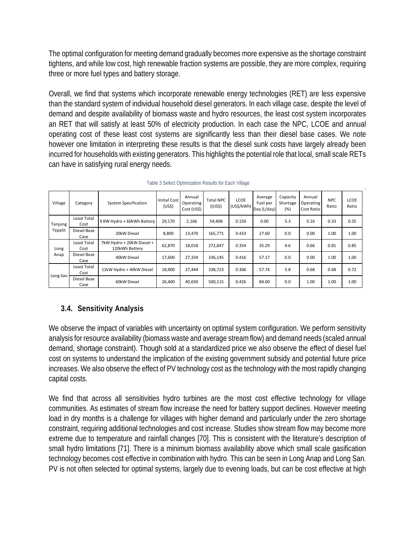The optimal configuration for meeting demand gradually becomes more expensive as the shortage constraint tightens, and while low cost, high renewable fraction systems are possible, they are more complex, requiring three or more fuel types and battery storage.

Overall, we find that systems which incorporate renewable energy technologies (RET) are less expensive than the standard system of individual household diesel generators. In each village case, despite the level of demand and despite availability of biomass waste and hydro resources, the least cost system incorporates an RET that will satisfy at least 50% of electricity production. In each case the NPC, LCOE and annual operating cost of these least cost systems are significantly less than their diesel base cases. We note however one limitation in interpreting these results is that the diesel sunk costs have largely already been incurred for households with existing generators. This highlights the potential role that local, small scale RETs can have in satisfying rural energy needs.

| Village                                                          | Category                   | <b>System Specification</b>                 | <b>Initial Cost</b><br>(US <sub>5</sub> ) | Annual<br>Operating<br>Cost (US\$) | <b>Total NPC</b><br>$($ (US\$) | <b>LCOE</b><br>(US\$/kWh) | Average<br>Fuel per<br>Day (L/day) | Capacity<br>Shortage<br>(% ) | Annual<br>Operating<br>Cost Ratio | <b>NPC</b><br>Ratio | LCOE<br>Ratio |
|------------------------------------------------------------------|----------------------------|---------------------------------------------|-------------------------------------------|------------------------------------|--------------------------------|---------------------------|------------------------------------|------------------------------|-----------------------------------|---------------------|---------------|
| Least Total<br>Tanjung<br>Cost<br>Tepalit<br>Diesel Base<br>Case | 9 KW Hydro + 60kWh Battery | 29,170                                      | 2,166                                     | 54,408                             | 0.150                          | 0.00                      | 5.3                                | 0.16                         | 0.33                              | 0.35                |               |
|                                                                  |                            | 20kW Diesel                                 | 8,800                                     | 13,470                             | 165,771                        | 0.433                     | 27.60                              | 0.0                          | 0.00                              | 1.00                | 1.00          |
| Long<br>Cost<br>Anap<br>Case                                     | Least Total                | 7kW Hydro + 20kW Diesel +<br>120kWh Battery | 62,870                                    | 18.018                             | 272.847                        | 0.354                     | 35.29                              | 4.6                          | 0.66                              | 0.81                | 0.85          |
|                                                                  | Diesel Base                | 40kW Diesel                                 | 17,600                                    | 27,334                             | 336,145                        | 0.416                     | 57.17                              | 0.0                          | 0.00                              | 1.00                | 1.00          |
| Long San                                                         | Least Total<br>Cost        | 11kW Hydro + 40kW Diesel                    | 18,900                                    | 27.444                             | 338,723                        | 0.306                     | 57.74                              | 5.8                          | 0.68                              | 0.68                | 0.72          |
|                                                                  | Diesel Base<br>Case        | 60kW Diesel                                 | 26,400                                    | 40,650                             | 500,115                        | 0.426                     | 84.00                              | 0.0                          | 1.00                              | 1.00                | 1.00          |

|  | Table 3 Select Optimization Results for Each Village |  |  |
|--|------------------------------------------------------|--|--|
|  |                                                      |  |  |

## **3.4. Sensitivity Analysis**

We observe the impact of variables with uncertainty on optimal system configuration. We perform sensitivity analysis for resource availability (biomass waste and average stream flow) and demand needs (scaled annual demand, shortage constraint). Though sold at a standardized price we also observe the effect of diesel fuel cost on systems to understand the implication of the existing government subsidy and potential future price increases. We also observe the effect of PV technology cost as the technology with the most rapidly changing capital costs.

We find that across all sensitivities hydro turbines are the most cost effective technology for village communities. As estimates of stream flow increase the need for battery support declines. However meeting load in dry months is a challenge for villages with higher demand and particularly under the zero shortage constraint, requiring additional technologies and cost increase. Studies show stream flow may become more extreme due to temperature and rainfall changes [70]. This is consistent with the literature's description of small hydro limitations [71]. There is a minimum biomass availability above which small scale gasification technology becomes cost effective in combination with hydro. This can be seen in Long Anap and Long San. PV is not often selected for optimal systems, largely due to evening loads, but can be cost effective at high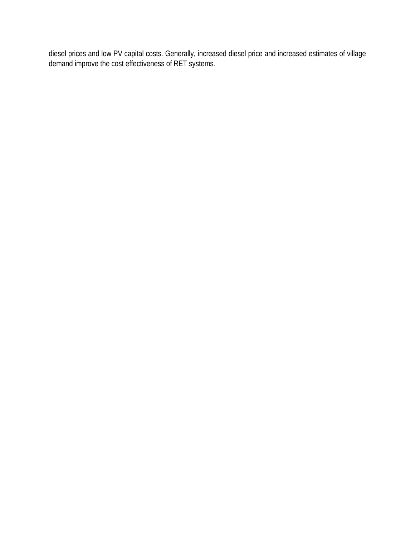diesel prices and low PV capital costs. Generally, increased diesel price and increased estimates of village demand improve the cost effectiveness of RET systems.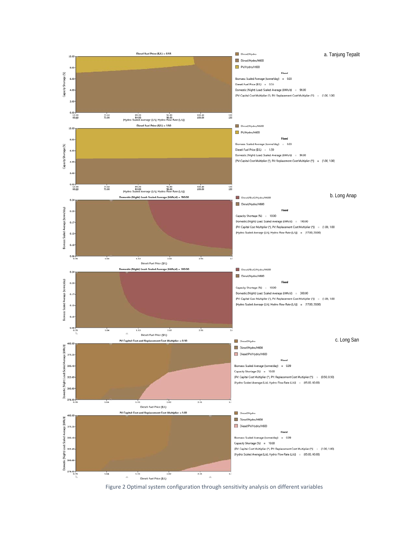

Figure 2 Optimal system configuration through sensitivity analysis on different variables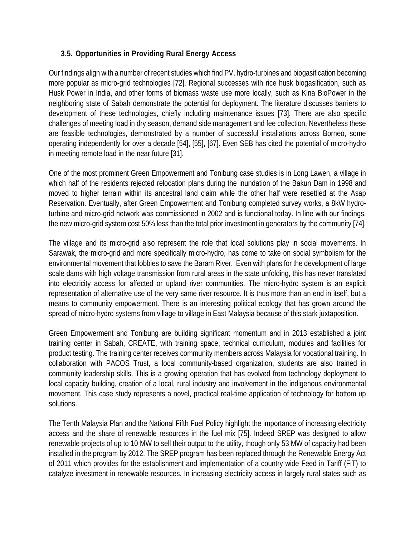#### **3.5. Opportunities in Providing Rural Energy Access**

Our findings align with a number of recent studies which find PV, hydro-turbines and biogasification becoming more popular as micro-grid technologies [72]. Regional successes with rice husk biogasification, such as Husk Power in India, and other forms of biomass waste use more locally, such as Kina BioPower in the neighboring state of Sabah demonstrate the potential for deployment. The literature discusses barriers to development of these technologies, chiefly including maintenance issues [73]. There are also specific challenges of meeting load in dry season, demand side management and fee collection. Nevertheless these are feasible technologies, demonstrated by a number of successful installations across Borneo, some operating independently for over a decade [54], [55], [67]. Even SEB has cited the potential of micro-hydro in meeting remote load in the near future [31].

One of the most prominent Green Empowerment and Tonibung case studies is in Long Lawen, a village in which half of the residents rejected relocation plans during the inundation of the Bakun Dam in 1998 and moved to higher terrain within its ancestral land claim while the other half were resettled at the Asap Reservation. Eventually, after Green Empowerment and Tonibung completed survey works, a 8kW hydroturbine and micro-grid network was commissioned in 2002 and is functional today. In line with our findings, the new micro-grid system cost 50% less than the total prior investment in generators by the community [74].

The village and its micro-grid also represent the role that local solutions play in social movements. In Sarawak, the micro-grid and more specifically micro-hydro, has come to take on social symbolism for the environmental movement that lobbies to save the Baram River. Even with plans for the development of large scale dams with high voltage transmission from rural areas in the state unfolding, this has never translated into electricity access for affected or upland river communities. The micro-hydro system is an explicit representation of alternative use of the very same river resource. It is thus more than an end in itself, but a means to community empowerment. There is an interesting political ecology that has grown around the spread of micro-hydro systems from village to village in East Malaysia because of this stark juxtaposition.

Green Empowerment and Tonibung are building significant momentum and in 2013 established a joint training center in Sabah, CREATE, with training space, technical curriculum, modules and facilities for product testing. The training center receives community members across Malaysia for vocational training. In collaboration with PACOS Trust, a local community-based organization, students are also trained in community leadership skills. This is a growing operation that has evolved from technology deployment to local capacity building, creation of a local, rural industry and involvement in the indigenous environmental movement. This case study represents a novel, practical real-time application of technology for bottom up solutions.

The Tenth Malaysia Plan and the National Fifth Fuel Policy highlight the importance of increasing electricity access and the share of renewable resources in the fuel mix [75]. Indeed SREP was designed to allow renewable projects of up to 10 MW to sell their output to the utility, though only 53 MW of capacity had been installed in the program by 2012. The SREP program has been replaced through the Renewable Energy Act of 2011 which provides for the establishment and implementation of a country wide Feed in Tariff (FiT) to catalyze investment in renewable resources. In increasing electricity access in largely rural states such as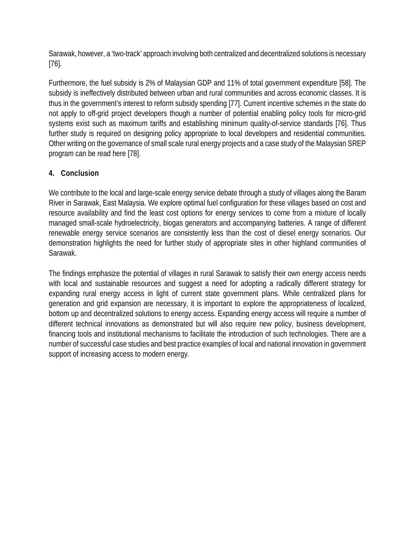Sarawak, however, a 'two-track' approach involving both centralized and decentralized solutions is necessary [76].

Furthermore, the fuel subsidy is 2% of Malaysian GDP and 11% of total government expenditure [58]. The subsidy is ineffectively distributed between urban and rural communities and across economic classes. It is thus in the government's interest to reform subsidy spending [77]. Current incentive schemes in the state do not apply to off-grid project developers though a number of potential enabling policy tools for micro-grid systems exist such as maximum tariffs and establishing minimum quality-of-service standards [76]. Thus further study is required on designing policy appropriate to local developers and residential communities. Other writing on the governance of small scale rural energy projects and a case study of the Malaysian SREP program can be read here [78].

### **4. Conclusion**

We contribute to the local and large-scale energy service debate through a study of villages along the Baram River in Sarawak, East Malaysia. We explore optimal fuel configuration for these villages based on cost and resource availability and find the least cost options for energy services to come from a mixture of locally managed small-scale hydroelectricity, biogas generators and accompanying batteries. A range of different renewable energy service scenarios are consistently less than the cost of diesel energy scenarios. Our demonstration highlights the need for further study of appropriate sites in other highland communities of Sarawak.

The findings emphasize the potential of villages in rural Sarawak to satisfy their own energy access needs with local and sustainable resources and suggest a need for adopting a radically different strategy for expanding rural energy access in light of current state government plans. While centralized plans for generation and grid expansion are necessary, it is important to explore the appropriateness of localized, bottom up and decentralized solutions to energy access. Expanding energy access will require a number of different technical innovations as demonstrated but will also require new policy, business development, financing tools and institutional mechanisms to facilitate the introduction of such technologies. There are a number of successful case studies and best practice examples of local and national innovation in government support of increasing access to modern energy.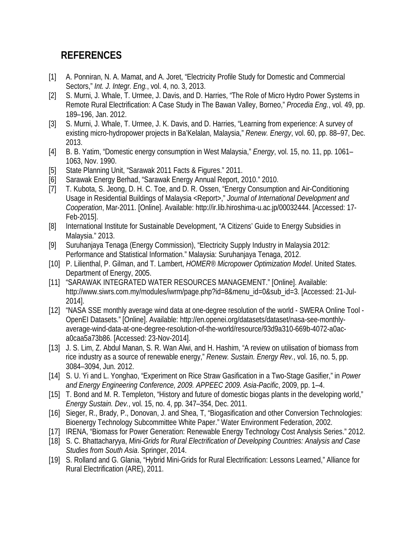# **REFERENCES**

- [1] A. Ponniran, N. A. Mamat, and A. Joret, "Electricity Profile Study for Domestic and Commercial Sectors," *Int. J. Integr. Eng.*, vol. 4, no. 3, 2013.
- [2] S. Murni, J. Whale, T. Urmee, J. Davis, and D. Harries, "The Role of Micro Hydro Power Systems in Remote Rural Electrification: A Case Study in The Bawan Valley, Borneo," *Procedia Eng.*, vol. 49, pp. 189–196, Jan. 2012.
- [3] S. Murni, J. Whale, T. Urmee, J. K. Davis, and D. Harries, "Learning from experience: A survey of existing micro-hydropower projects in Ba'Kelalan, Malaysia," *Renew. Energy*, vol. 60, pp. 88–97, Dec. 2013.
- [4] B. B. Yatim, "Domestic energy consumption in West Malaysia," *Energy*, vol. 15, no. 11, pp. 1061– 1063, Nov. 1990.
- [5] State Planning Unit, "Sarawak 2011 Facts & Figures." 2011.
- [6] Sarawak Energy Berhad, "Sarawak Energy Annual Report, 2010." 2010.
- [7] T. Kubota, S. Jeong, D. H. C. Toe, and D. R. Ossen, "Energy Consumption and Air-Conditioning Usage in Residential Buildings of Malaysia <Report>," *Journal of International Development and Cooperation*, Mar-2011. [Online]. Available: http://ir.lib.hiroshima-u.ac.jp/00032444. [Accessed: 17- Feb-2015].
- [8] International Institute for Sustainable Development, "A Citizens' Guide to Energy Subsidies in Malaysia." 2013.
- [9] Suruhanjaya Tenaga (Energy Commission), "Electricity Supply Industry in Malaysia 2012: Performance and Statistical Information." Malaysia: Suruhanjaya Tenaga, 2012.
- [10] P. Lilienthal, P. Gilman, and T. Lambert, *HOMER® Micropower Optimization Model*. United States. Department of Energy, 2005.
- [11] "SARAWAK INTEGRATED WATER RESOURCES MANAGEMENT." [Online]. Available: http://www.siwrs.com.my/modules/iwrm/page.php?id=8&menu\_id=0&sub\_id=3. [Accessed: 21-Jul-2014].
- [12] "NASA SSE monthly average wind data at one-degree resolution of the world SWERA Online Tool OpenEI Datasets." [Online]. Available: http://en.openei.org/datasets/dataset/nasa-see-monthlyaverage-wind-data-at-one-degree-resolution-of-the-world/resource/93d9a310-669b-4072-a0aca0caa5a73b86. [Accessed: 23-Nov-2014].
- [13] J. S. Lim, Z. Abdul Manan, S. R. Wan Alwi, and H. Hashim, "A review on utilisation of biomass from rice industry as a source of renewable energy," *Renew. Sustain. Energy Rev.*, vol. 16, no. 5, pp. 3084–3094, Jun. 2012.
- [14] S. U. Yi and L. Yonghao, "Experiment on Rice Straw Gasification in a Two-Stage Gasifier," in *Power and Energy Engineering Conference, 2009. APPEEC 2009. Asia-Pacific*, 2009, pp. 1–4.
- [15] T. Bond and M. R. Templeton, "History and future of domestic biogas plants in the developing world," *Energy Sustain. Dev.*, vol. 15, no. 4, pp. 347–354, Dec. 2011.
- [16] Sieger, R., Brady, P., Donovan, J. and Shea, T, "Biogasification and other Conversion Technologies: Bioenergy Technology Subcommittee White Paper." Water Environment Federation, 2002.
- [17] IRENA, "Biomass for Power Generation: Renewable Energy Technology Cost Analysis Series." 2012.
- [18] S. C. Bhattacharyya, *Mini-Grids for Rural Electrification of Developing Countries: Analysis and Case Studies from South Asia*. Springer, 2014.
- [19] S. Rolland and G. Glania, "Hybrid Mini-Grids for Rural Electrification: Lessons Learned," Alliance for Rural Electrification (ARE), 2011.